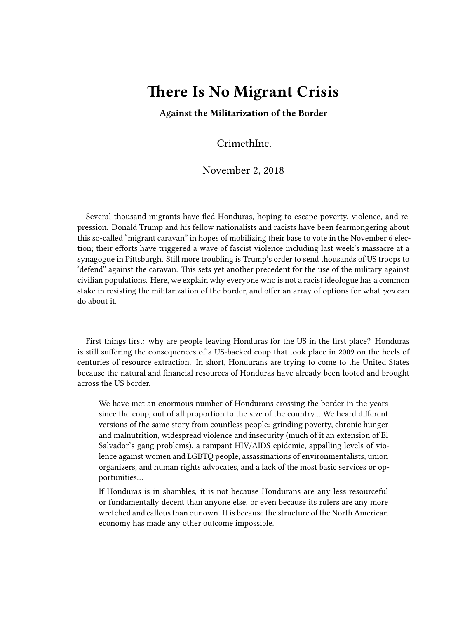# **There Is No Migrant Crisis**

**Against the Militarization of the Border**

CrimethInc.

### November 2, 2018

Several thousand migrants have fled Honduras, hoping to escape poverty, violence, and repression. Donald Trump and his fellow nationalists and racists have been fearmongering about this so-called "migrant caravan" in hopes of mobilizing their base to vote in the November 6 election; their efforts have triggered a wave of fascist violence including last week's massacre at a synagogue in Pittsburgh. Still more troubling is Trump's order to send thousands of US troops to "defend" against the caravan. This sets yet another precedent for the use of the military against civilian populations. Here, we explain why everyone who is not a racist ideologue has a common stake in resisting the militarization of the border, and offer an array of options for what *you* can do about it.

First things first: why are people leaving Honduras for the US in the first place? Honduras is still suffering the consequences of a US-backed coup that took place in 2009 on the heels of centuries of resource extraction. In short, Hondurans are trying to come to the United States because the natural and financial resources of Honduras have already been looted and brought across the US border.

We have met an enormous number of Hondurans crossing the border in the years since the coup, out of all proportion to the size of the country… We heard different versions of the same story from countless people: grinding poverty, chronic hunger and malnutrition, widespread violence and insecurity (much of it an extension of El Salvador's gang problems), a rampant HIV/AIDS epidemic, appalling levels of violence against women and LGBTQ people, assassinations of environmentalists, union organizers, and human rights advocates, and a lack of the most basic services or opportunities…

If Honduras is in shambles, it is not because Hondurans are any less resourceful or fundamentally decent than anyone else, or even because its rulers are any more wretched and callous than our own. It is because the structure of the North American economy has made any other outcome impossible.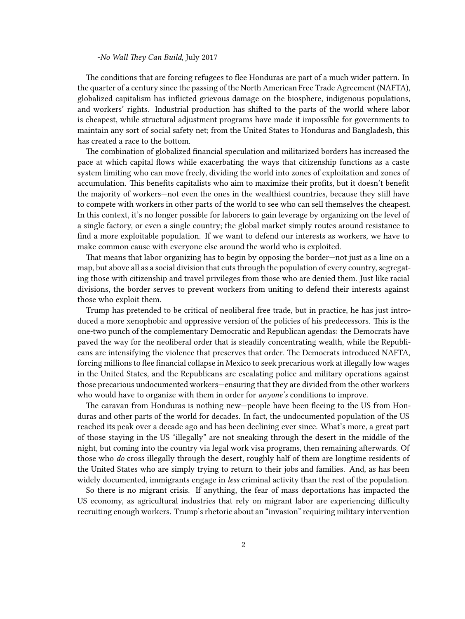#### -*No Wall They Can Build,* July 2017

The conditions that are forcing refugees to flee Honduras are part of a much wider pattern. In the quarter of a century since the passing of the North American Free Trade Agreement (NAFTA), globalized capitalism has inflicted grievous damage on the biosphere, indigenous populations, and workers' rights. Industrial production has shifted to the parts of the world where labor is cheapest, while structural adjustment programs have made it impossible for governments to maintain any sort of social safety net; from the United States to Honduras and Bangladesh, this has created a race to the bottom.

The combination of globalized financial speculation and militarized borders has increased the pace at which capital flows while exacerbating the ways that citizenship functions as a caste system limiting who can move freely, dividing the world into zones of exploitation and zones of accumulation. This benefits capitalists who aim to maximize their profits, but it doesn't benefit the majority of workers—not even the ones in the wealthiest countries, because they still have to compete with workers in other parts of the world to see who can sell themselves the cheapest. In this context, it's no longer possible for laborers to gain leverage by organizing on the level of a single factory, or even a single country; the global market simply routes around resistance to find a more exploitable population. If we want to defend our interests as workers, we have to make common cause with everyone else around the world who is exploited.

That means that labor organizing has to begin by opposing the border—not just as a line on a map, but above all as a social division that cuts through the population of every country, segregating those with citizenship and travel privileges from those who are denied them. Just like racial divisions, the border serves to prevent workers from uniting to defend their interests against those who exploit them.

Trump has pretended to be critical of neoliberal free trade, but in practice, he has just introduced a more xenophobic and oppressive version of the policies of his predecessors. This is the one-two punch of the complementary Democratic and Republican agendas: the Democrats have paved the way for the neoliberal order that is steadily concentrating wealth, while the Republicans are intensifying the violence that preserves that order. The Democrats introduced NAFTA, forcing millions to flee financial collapse in Mexico to seek precarious work at illegally low wages in the United States, and the Republicans are escalating police and military operations against those precarious undocumented workers—ensuring that they are divided from the other workers who would have to organize with them in order for *anyone's* conditions to improve.

The caravan from Honduras is nothing new—people have been fleeing to the US from Honduras and other parts of the world for decades. In fact, the undocumented population of the US reached its peak over a decade ago and has been declining ever since. What's more, a great part of those staying in the US "illegally" are not sneaking through the desert in the middle of the night, but coming into the country via legal work visa programs, then remaining afterwards. Of those who *do* cross illegally through the desert, roughly half of them are longtime residents of the United States who are simply trying to return to their jobs and families. And, as has been widely documented, immigrants engage in *less* criminal activity than the rest of the population.

So there is no migrant crisis. If anything, the fear of mass deportations has impacted the US economy, as agricultural industries that rely on migrant labor are experiencing difficulty recruiting enough workers. Trump's rhetoric about an "invasion" requiring military intervention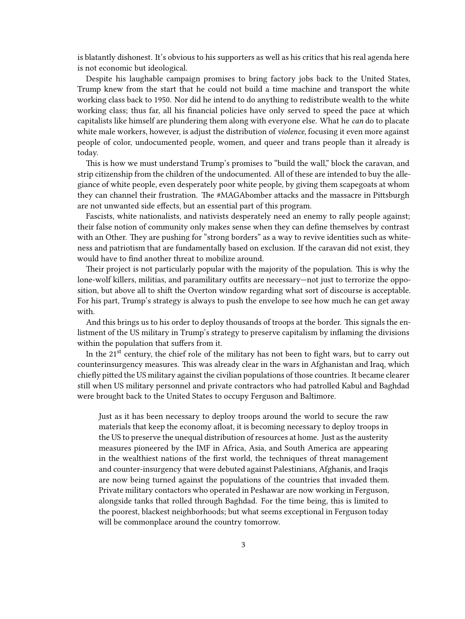is blatantly dishonest. It's obvious to his supporters as well as his critics that his real agenda here is not economic but ideological.

Despite his laughable campaign promises to bring factory jobs back to the United States, Trump knew from the start that he could not build a time machine and transport the white working class back to 1950. Nor did he intend to do anything to redistribute wealth to the white working class; thus far, all his financial policies have only served to speed the pace at which capitalists like himself are plundering them along with everyone else. What he *can* do to placate white male workers, however, is adjust the distribution of *violence,* focusing it even more against people of color, undocumented people, women, and queer and trans people than it already is today.

This is how we must understand Trump's promises to "build the wall," block the caravan, and strip citizenship from the children of the undocumented. All of these are intended to buy the allegiance of white people, even desperately poor white people, by giving them scapegoats at whom they can channel their frustration. The #MAGAbomber attacks and the massacre in Pittsburgh are not unwanted side effects, but an essential part of this program.

Fascists, white nationalists, and nativists desperately need an enemy to rally people against; their false notion of community only makes sense when they can define themselves by contrast with an Other. They are pushing for "strong borders" as a way to revive identities such as whiteness and patriotism that are fundamentally based on exclusion. If the caravan did not exist, they would have to find another threat to mobilize around.

Their project is not particularly popular with the majority of the population. This is why the lone-wolf killers, militias, and paramilitary outfits are necessary—not just to terrorize the opposition, but above all to shift the Overton window regarding what sort of discourse is acceptable. For his part, Trump's strategy is always to push the envelope to see how much he can get away with.

And this brings us to his order to deploy thousands of troops at the border. This signals the enlistment of the US military in Trump's strategy to preserve capitalism by inflaming the divisions within the population that suffers from it.

In the  $21<sup>st</sup>$  century, the chief role of the military has not been to fight wars, but to carry out counterinsurgency measures. This was already clear in the wars in Afghanistan and Iraq, which chiefly pitted the US military against the civilian populations of those countries. It became clearer still when US military personnel and private contractors who had patrolled Kabul and Baghdad were brought back to the United States to occupy Ferguson and Baltimore.

Just as it has been necessary to deploy troops around the world to secure the raw materials that keep the economy afloat, it is becoming necessary to deploy troops in the US to preserve the unequal distribution of resources at home. Just as the austerity measures pioneered by the IMF in Africa, Asia, and South America are appearing in the wealthiest nations of the first world, the techniques of threat management and counter-insurgency that were debuted against Palestinians, Afghanis, and Iraqis are now being turned against the populations of the countries that invaded them. Private military contactors who operated in Peshawar are now working in Ferguson, alongside tanks that rolled through Baghdad. For the time being, this is limited to the poorest, blackest neighborhoods; but what seems exceptional in Ferguson today will be commonplace around the country tomorrow.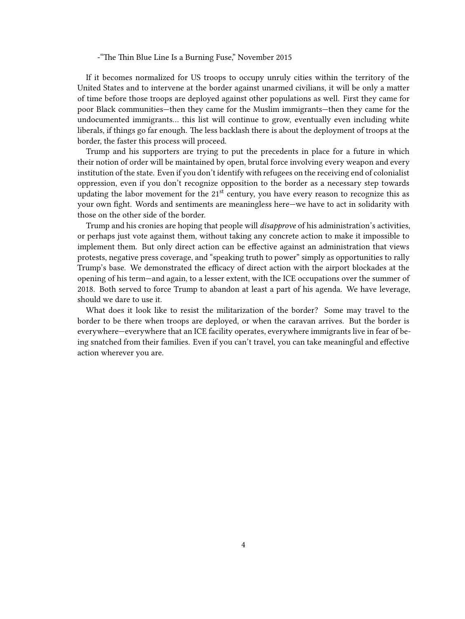#### -"The Thin Blue Line Is a Burning Fuse," November 2015

If it becomes normalized for US troops to occupy unruly cities within the territory of the United States and to intervene at the border against unarmed civilians, it will be only a matter of time before those troops are deployed against other populations as well. First they came for poor Black communities—then they came for the Muslim immigrants—then they came for the undocumented immigrants… this list will continue to grow, eventually even including white liberals, if things go far enough. The less backlash there is about the deployment of troops at the border, the faster this process will proceed.

Trump and his supporters are trying to put the precedents in place for a future in which their notion of order will be maintained by open, brutal force involving every weapon and every institution of the state. Even if you don't identify with refugees on the receiving end of colonialist oppression, even if you don't recognize opposition to the border as a necessary step towards updating the labor movement for the  $21<sup>st</sup>$  century, you have every reason to recognize this as your own fight. Words and sentiments are meaningless here—we have to act in solidarity with those on the other side of the border.

Trump and his cronies are hoping that people will *disapprove* of his administration's activities, or perhaps just vote against them, without taking any concrete action to make it impossible to implement them. But only direct action can be effective against an administration that views protests, negative press coverage, and "speaking truth to power" simply as opportunities to rally Trump's base. We demonstrated the efficacy of direct action with the airport blockades at the opening of his term—and again, to a lesser extent, with the ICE occupations over the summer of 2018. Both served to force Trump to abandon at least a part of his agenda. We have leverage, should we dare to use it.

What does it look like to resist the militarization of the border? Some may travel to the border to be there when troops are deployed, or when the caravan arrives. But the border is everywhere—everywhere that an ICE facility operates, everywhere immigrants live in fear of being snatched from their families. Even if you can't travel, you can take meaningful and effective action wherever you are.